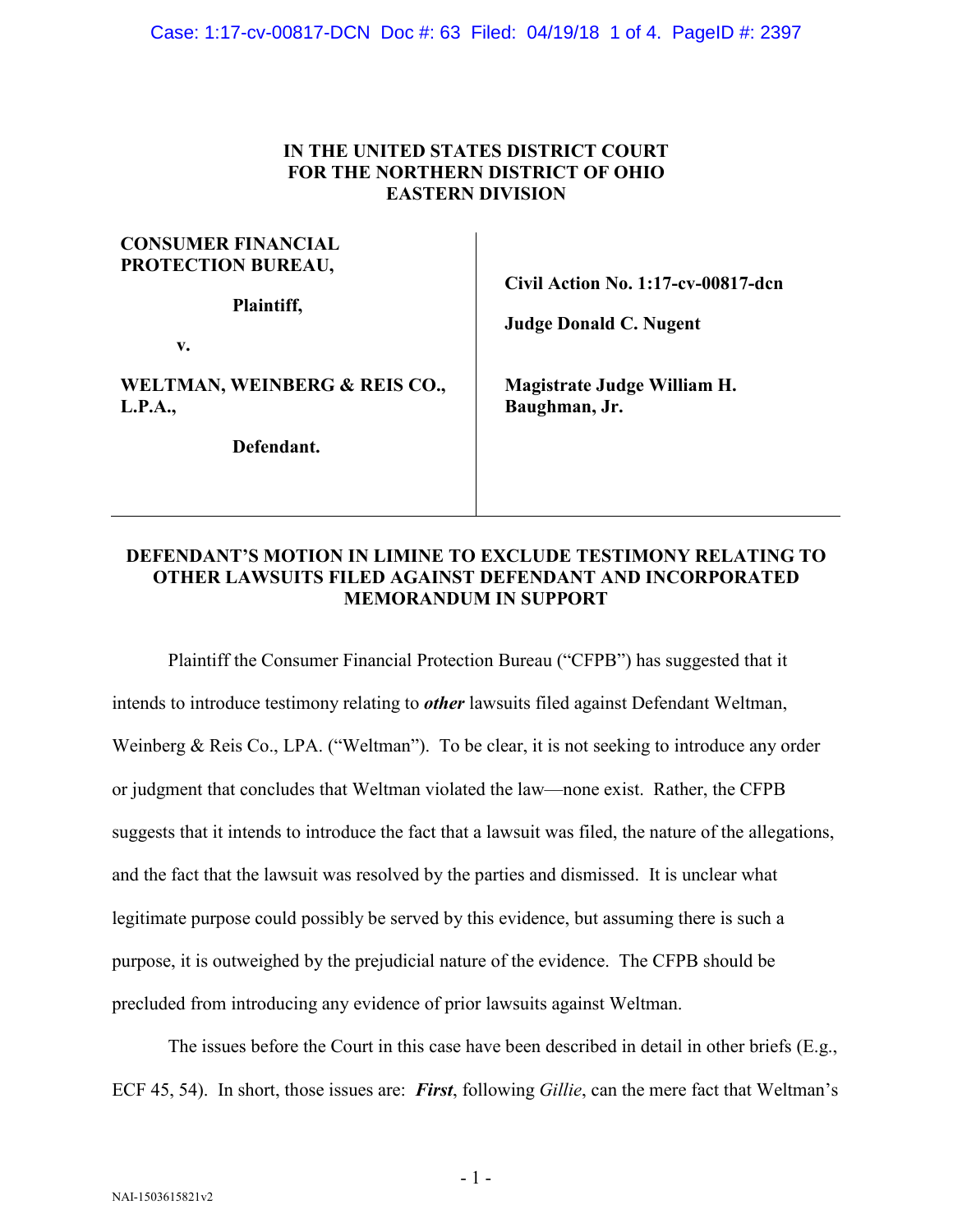Case: 1:17-cv-00817-DCN Doc #: 63 Filed: 04/19/18 1 of 4. PageID #: 2397

### **IN THE UNITED STATES DISTRICT COURT FOR THE NORTHERN DISTRICT OF OHIO EASTERN DIVISION**

 $\mathbf{I}$ 

| CUNSUMER FINANCIAL<br>PROTECTION BUREAU,<br>Plaintiff, | Civil Action No. 1:17-cv-00817-dcn<br><b>Judge Donald C. Nugent</b> |
|--------------------------------------------------------|---------------------------------------------------------------------|
| v.<br>WELTMAN, WEINBERG & REIS CO.,<br>L.P.A.,         | Magistrate Judge William H.<br>Baughman, Jr.                        |
| Defendant.                                             |                                                                     |

**CONSUMER FINANCIAL** 

# **DEFENDANT'S MOTION IN LIMINE TO EXCLUDE TESTIMONY RELATING TO OTHER LAWSUITS FILED AGAINST DEFENDANT AND INCORPORATED MEMORANDUM IN SUPPORT**

Plaintiff the Consumer Financial Protection Bureau ("CFPB") has suggested that it intends to introduce testimony relating to *other* lawsuits filed against Defendant Weltman, Weinberg & Reis Co., LPA. ("Weltman"). To be clear, it is not seeking to introduce any order or judgment that concludes that Weltman violated the law—none exist. Rather, the CFPB suggests that it intends to introduce the fact that a lawsuit was filed, the nature of the allegations, and the fact that the lawsuit was resolved by the parties and dismissed. It is unclear what legitimate purpose could possibly be served by this evidence, but assuming there is such a purpose, it is outweighed by the prejudicial nature of the evidence. The CFPB should be precluded from introducing any evidence of prior lawsuits against Weltman.

The issues before the Court in this case have been described in detail in other briefs (E.g., ECF 45, 54). In short, those issues are: *First*, following *Gillie*, can the mere fact that Weltman's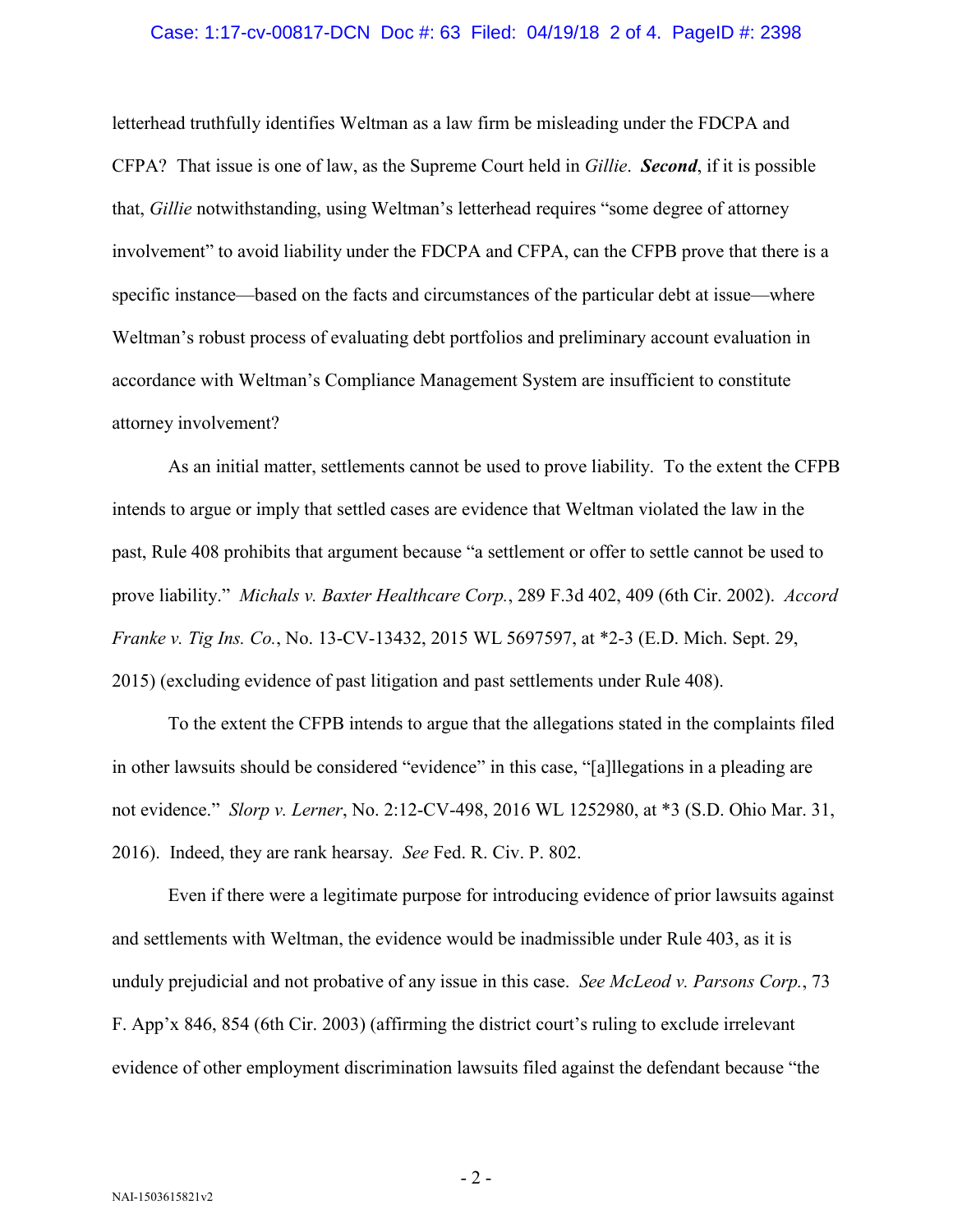#### Case: 1:17-cv-00817-DCN Doc #: 63 Filed: 04/19/18 2 of 4. PageID #: 2398

letterhead truthfully identifies Weltman as a law firm be misleading under the FDCPA and CFPA? That issue is one of law, as the Supreme Court held in *Gillie*. *Second*, if it is possible that, *Gillie* notwithstanding, using Weltman's letterhead requires "some degree of attorney involvement" to avoid liability under the FDCPA and CFPA, can the CFPB prove that there is a specific instance—based on the facts and circumstances of the particular debt at issue—where Weltman's robust process of evaluating debt portfolios and preliminary account evaluation in accordance with Weltman's Compliance Management System are insufficient to constitute attorney involvement?

As an initial matter, settlements cannot be used to prove liability. To the extent the CFPB intends to argue or imply that settled cases are evidence that Weltman violated the law in the past, Rule 408 prohibits that argument because "a settlement or offer to settle cannot be used to prove liability." *Michals v. Baxter Healthcare Corp.*, 289 F.3d 402, 409 (6th Cir. 2002). *Accord Franke v. Tig Ins. Co.*, No. 13-CV-13432, 2015 WL 5697597, at \*2-3 (E.D. Mich. Sept. 29, 2015) (excluding evidence of past litigation and past settlements under Rule 408).

To the extent the CFPB intends to argue that the allegations stated in the complaints filed in other lawsuits should be considered "evidence" in this case, "[a]llegations in a pleading are not evidence." *Slorp v. Lerner*, No. 2:12-CV-498, 2016 WL 1252980, at \*3 (S.D. Ohio Mar. 31, 2016). Indeed, they are rank hearsay. *See* Fed. R. Civ. P. 802.

Even if there were a legitimate purpose for introducing evidence of prior lawsuits against and settlements with Weltman, the evidence would be inadmissible under Rule 403, as it is unduly prejudicial and not probative of any issue in this case. *See McLeod v. Parsons Corp.*, 73 F. App'x 846, 854 (6th Cir. 2003) (affirming the district court's ruling to exclude irrelevant evidence of other employment discrimination lawsuits filed against the defendant because "the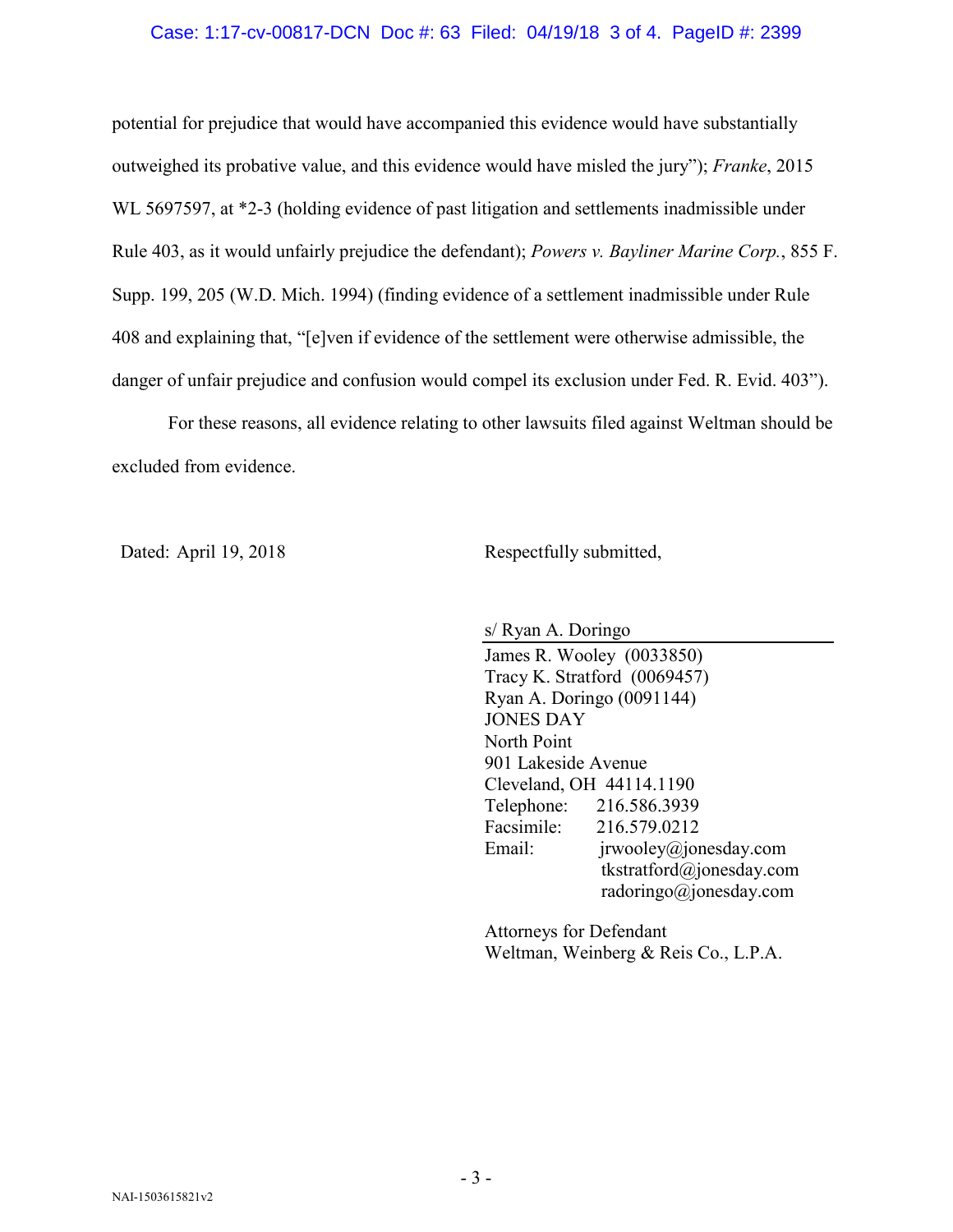### Case: 1:17-cv-00817-DCN Doc #: 63 Filed: 04/19/18 3 of 4. PageID #: 2399

potential for prejudice that would have accompanied this evidence would have substantially outweighed its probative value, and this evidence would have misled the jury"); *Franke*, 2015 WL 5697597, at \*2-3 (holding evidence of past litigation and settlements inadmissible under Rule 403, as it would unfairly prejudice the defendant); *Powers v. Bayliner Marine Corp.*, 855 F. Supp. 199, 205 (W.D. Mich. 1994) (finding evidence of a settlement inadmissible under Rule 408 and explaining that, "[e]ven if evidence of the settlement were otherwise admissible, the danger of unfair prejudice and confusion would compel its exclusion under Fed. R. Evid. 403").

For these reasons, all evidence relating to other lawsuits filed against Weltman should be excluded from evidence.

Dated: April 19, 2018 Respectfully submitted,

s/ Ryan A. Doringo James R. Wooley (0033850) Tracy K. Stratford (0069457) Ryan A. Doringo (0091144) JONES DAY North Point 901 Lakeside Avenue Cleveland, OH 44114.1190 Telephone: 216.586.3939 Facsimile: 216.579.0212 Email: jrwooley@jonesday.com tkstratford@jonesday.com radoringo@jonesday.com

Attorneys for Defendant Weltman, Weinberg & Reis Co., L.P.A.